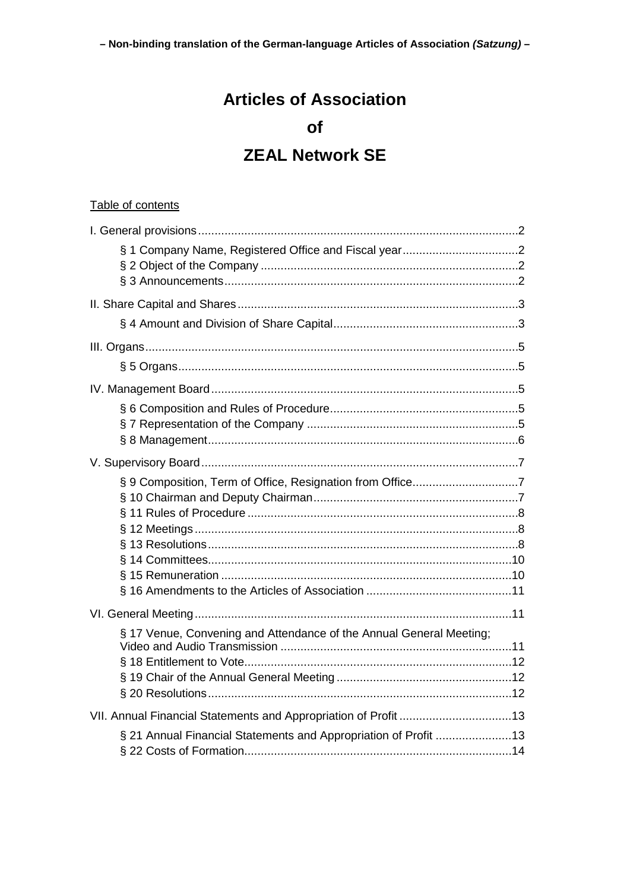- Non-binding translation of the German-language Articles of Association (Satzung)-

# **Articles of Association**

# of

# **ZEAL Network SE**

### Table of contents

| § 9 Composition, Term of Office, Resignation from Office7           |
|---------------------------------------------------------------------|
|                                                                     |
|                                                                     |
|                                                                     |
|                                                                     |
|                                                                     |
|                                                                     |
|                                                                     |
| § 17 Venue, Convening and Attendance of the Annual General Meeting; |
|                                                                     |
|                                                                     |
|                                                                     |
|                                                                     |
| § 21 Annual Financial Statements and Appropriation of Profit 13     |
|                                                                     |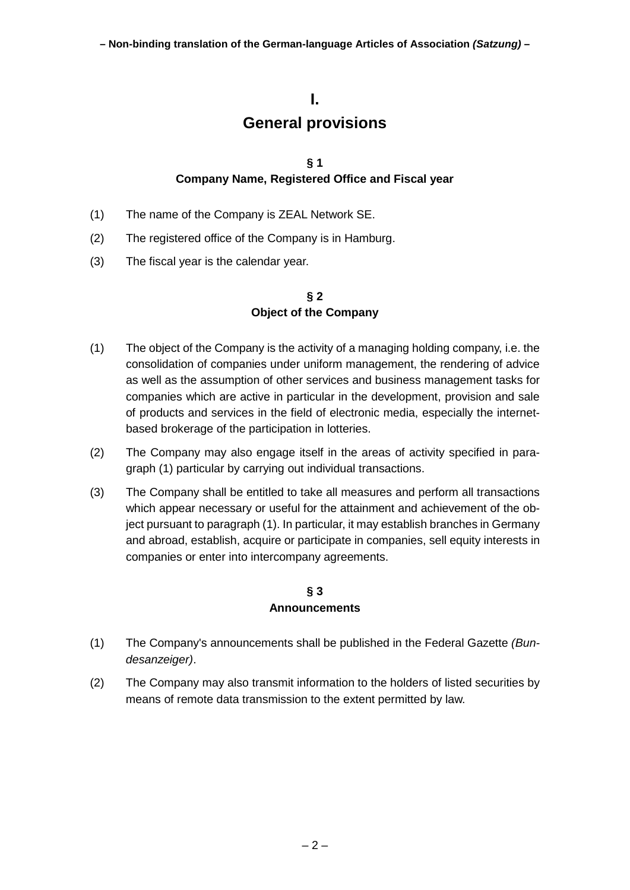## **I.**

# **General provisions**

#### **§ 1 Company Name, Registered Office and Fiscal year**

- <span id="page-1-1"></span><span id="page-1-0"></span>(1) The name of the Company is ZEAL Network SE.
- (2) The registered office of the Company is in Hamburg.
- (3) The fiscal year is the calendar year.

### **§ 2 Object of the Company**

- <span id="page-1-4"></span><span id="page-1-2"></span>(1) The object of the Company is the activity of a managing holding company, i.e. the consolidation of companies under uniform management, the rendering of advice as well as the assumption of other services and business management tasks for companies which are active in particular in the development, provision and sale of products and services in the field of electronic media, especially the internetbased brokerage of the participation in lotteries.
- (2) The Company may also engage itself in the areas of activity specified in paragraph [\(1\)](#page-1-4) particular by carrying out individual transactions.
- (3) The Company shall be entitled to take all measures and perform all transactions which appear necessary or useful for the attainment and achievement of the object pursuant to paragraph [\(1\).](#page-1-4) In particular, it may establish branches in Germany and abroad, establish, acquire or participate in companies, sell equity interests in companies or enter into intercompany agreements.

#### **§ 3 Announcements**

- <span id="page-1-3"></span>(1) The Company's announcements shall be published in the Federal Gazette *(Bundesanzeiger)*.
- (2) The Company may also transmit information to the holders of listed securities by means of remote data transmission to the extent permitted by law.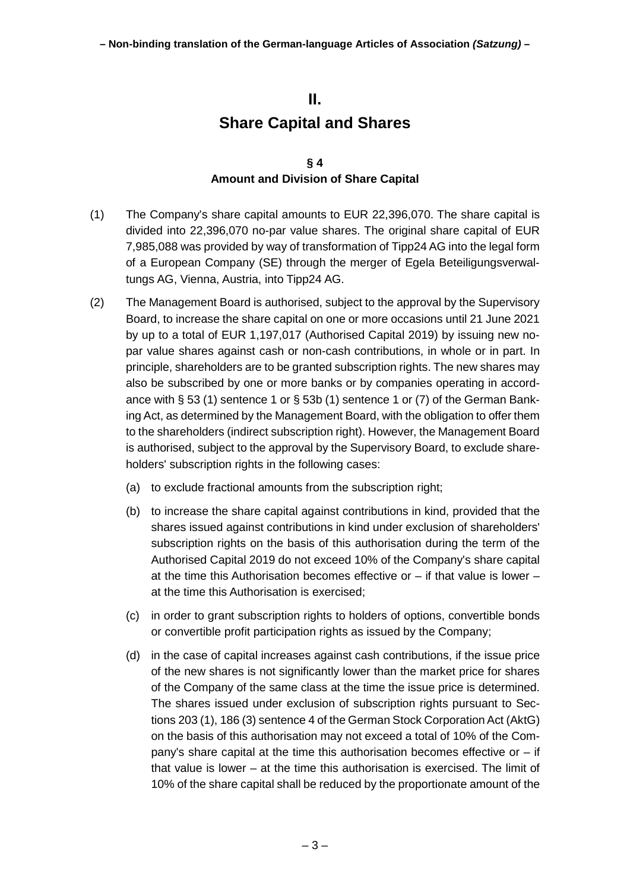# **II. Share Capital and Shares**

#### **§ 4 Amount and Division of Share Capital**

- <span id="page-2-1"></span><span id="page-2-0"></span>(1) The Company's share capital amounts to EUR 22,396,070. The share capital is divided into 22,396,070 no-par value shares. The original share capital of EUR 7,985,088 was provided by way of transformation of Tipp24 AG into the legal form of a European Company (SE) through the merger of Egela Beteiligungsverwaltungs AG, Vienna, Austria, into Tipp24 AG.
- (2) The Management Board is authorised, subject to the approval by the Supervisory Board, to increase the share capital on one or more occasions until 21 June 2021 by up to a total of EUR 1,197,017 (Authorised Capital 2019) by issuing new nopar value shares against cash or non-cash contributions, in whole or in part. In principle, shareholders are to be granted subscription rights. The new shares may also be subscribed by one or more banks or by companies operating in accordance with  $\S 53$  (1) sentence 1 or  $\S 53b$  (1) sentence 1 or (7) of the German Banking Act, as determined by the Management Board, with the obligation to offer them to the shareholders (indirect subscription right). However, the Management Board is authorised, subject to the approval by the Supervisory Board, to exclude shareholders' subscription rights in the following cases:
	- (a) to exclude fractional amounts from the subscription right;
	- (b) to increase the share capital against contributions in kind, provided that the shares issued against contributions in kind under exclusion of shareholders' subscription rights on the basis of this authorisation during the term of the Authorised Capital 2019 do not exceed 10% of the Company's share capital at the time this Authorisation becomes effective or – if that value is lower – at the time this Authorisation is exercised;
	- (c) in order to grant subscription rights to holders of options, convertible bonds or convertible profit participation rights as issued by the Company;
	- (d) in the case of capital increases against cash contributions, if the issue price of the new shares is not significantly lower than the market price for shares of the Company of the same class at the time the issue price is determined. The shares issued under exclusion of subscription rights pursuant to Sections 203 (1), 186 (3) sentence 4 of the German Stock Corporation Act (AktG) on the basis of this authorisation may not exceed a total of 10% of the Company's share capital at the time this authorisation becomes effective or – if that value is lower – at the time this authorisation is exercised. The limit of 10% of the share capital shall be reduced by the proportionate amount of the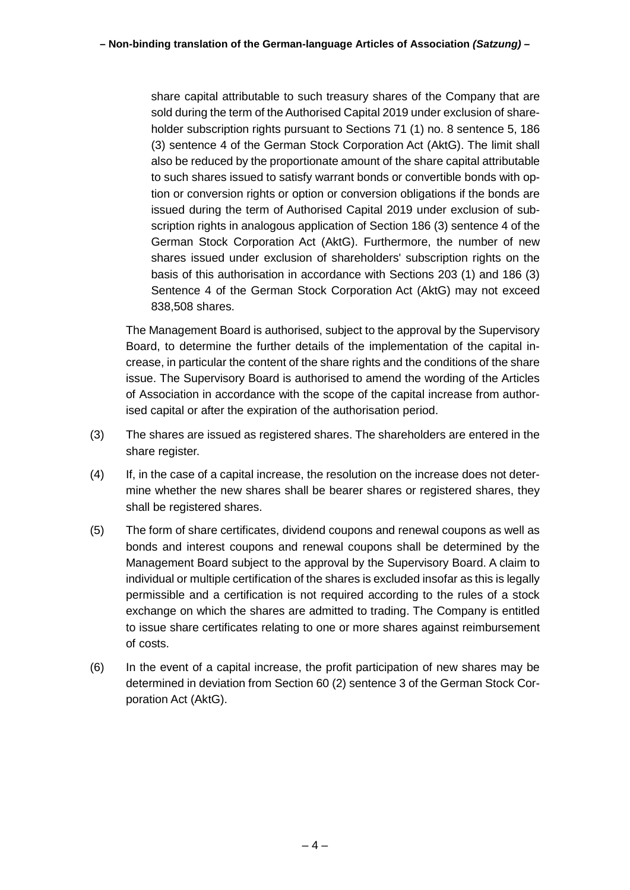share capital attributable to such treasury shares of the Company that are sold during the term of the Authorised Capital 2019 under exclusion of shareholder subscription rights pursuant to Sections 71 (1) no. 8 sentence 5, 186 (3) sentence 4 of the German Stock Corporation Act (AktG). The limit shall also be reduced by the proportionate amount of the share capital attributable to such shares issued to satisfy warrant bonds or convertible bonds with option or conversion rights or option or conversion obligations if the bonds are issued during the term of Authorised Capital 2019 under exclusion of subscription rights in analogous application of Section 186 (3) sentence 4 of the German Stock Corporation Act (AktG). Furthermore, the number of new shares issued under exclusion of shareholders' subscription rights on the basis of this authorisation in accordance with Sections 203 (1) and 186 (3) Sentence 4 of the German Stock Corporation Act (AktG) may not exceed 838,508 shares.

The Management Board is authorised, subject to the approval by the Supervisory Board, to determine the further details of the implementation of the capital increase, in particular the content of the share rights and the conditions of the share issue. The Supervisory Board is authorised to amend the wording of the Articles of Association in accordance with the scope of the capital increase from authorised capital or after the expiration of the authorisation period.

- (3) The shares are issued as registered shares. The shareholders are entered in the share register.
- (4) If, in the case of a capital increase, the resolution on the increase does not determine whether the new shares shall be bearer shares or registered shares, they shall be registered shares.
- (5) The form of share certificates, dividend coupons and renewal coupons as well as bonds and interest coupons and renewal coupons shall be determined by the Management Board subject to the approval by the Supervisory Board. A claim to individual or multiple certification of the shares is excluded insofar as this is legally permissible and a certification is not required according to the rules of a stock exchange on which the shares are admitted to trading. The Company is entitled to issue share certificates relating to one or more shares against reimbursement of costs.
- (6) In the event of a capital increase, the profit participation of new shares may be determined in deviation from Section 60 (2) sentence 3 of the German Stock Corporation Act (AktG).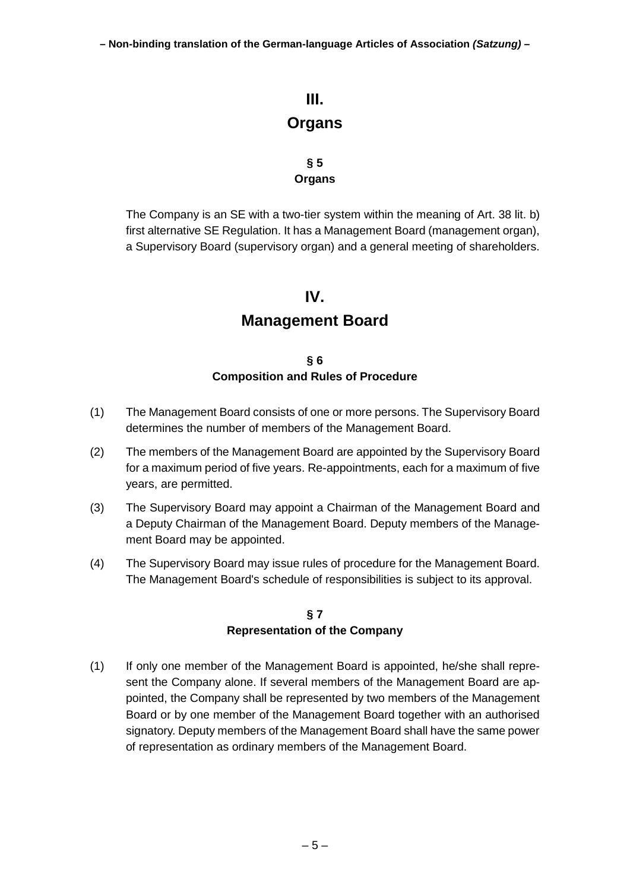<span id="page-4-0"></span>**– Non-binding translation of the German-language Articles of Association** *(Satzung)* **–**

# **III. Organs**

#### **§ 5 Organs**

<span id="page-4-1"></span>The Company is an SE with a two-tier system within the meaning of Art. 38 lit. b) first alternative SE Regulation. It has a Management Board (management organ), a Supervisory Board (supervisory organ) and a general meeting of shareholders.

## **IV.**

# **Management Board**

#### **§ 6 Composition and Rules of Procedure**

- <span id="page-4-3"></span><span id="page-4-2"></span>(1) The Management Board consists of one or more persons. The Supervisory Board determines the number of members of the Management Board.
- (2) The members of the Management Board are appointed by the Supervisory Board for a maximum period of five years. Re-appointments, each for a maximum of five years, are permitted.
- (3) The Supervisory Board may appoint a Chairman of the Management Board and a Deputy Chairman of the Management Board. Deputy members of the Management Board may be appointed.
- (4) The Supervisory Board may issue rules of procedure for the Management Board. The Management Board's schedule of responsibilities is subject to its approval.

#### **§ 7 Representation of the Company**

<span id="page-4-4"></span>(1) If only one member of the Management Board is appointed, he/she shall represent the Company alone. If several members of the Management Board are appointed, the Company shall be represented by two members of the Management Board or by one member of the Management Board together with an authorised signatory. Deputy members of the Management Board shall have the same power of representation as ordinary members of the Management Board.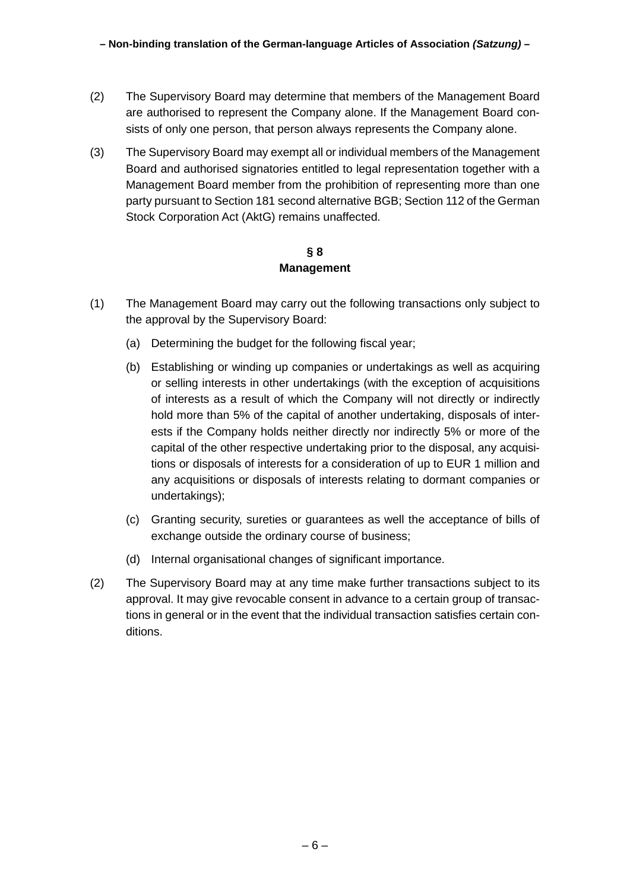- (2) The Supervisory Board may determine that members of the Management Board are authorised to represent the Company alone. If the Management Board consists of only one person, that person always represents the Company alone.
- (3) The Supervisory Board may exempt all or individual members of the Management Board and authorised signatories entitled to legal representation together with a Management Board member from the prohibition of representing more than one party pursuant to Section 181 second alternative BGB; Section 112 of the German Stock Corporation Act (AktG) remains unaffected.

#### **§ 8 Management**

- <span id="page-5-0"></span>(1) The Management Board may carry out the following transactions only subject to the approval by the Supervisory Board:
	- (a) Determining the budget for the following fiscal year;
	- (b) Establishing or winding up companies or undertakings as well as acquiring or selling interests in other undertakings (with the exception of acquisitions of interests as a result of which the Company will not directly or indirectly hold more than 5% of the capital of another undertaking, disposals of interests if the Company holds neither directly nor indirectly 5% or more of the capital of the other respective undertaking prior to the disposal, any acquisitions or disposals of interests for a consideration of up to EUR 1 million and any acquisitions or disposals of interests relating to dormant companies or undertakings);
	- (c) Granting security, sureties or guarantees as well the acceptance of bills of exchange outside the ordinary course of business;
	- (d) Internal organisational changes of significant importance.
- (2) The Supervisory Board may at any time make further transactions subject to its approval. It may give revocable consent in advance to a certain group of transactions in general or in the event that the individual transaction satisfies certain conditions.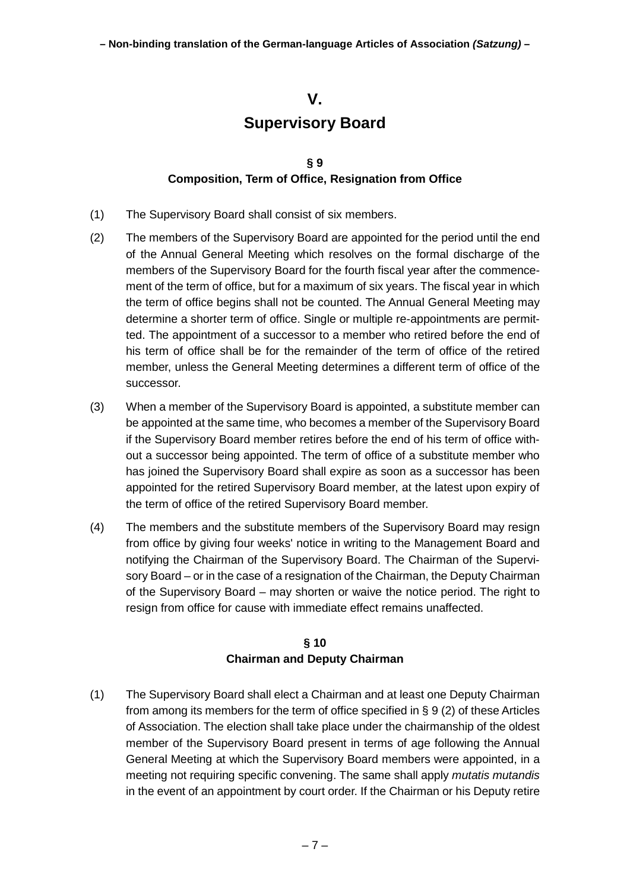## **V.**

# **Supervisory Board**

#### <span id="page-6-0"></span>**§ 9 Composition, Term of Office, Resignation from Office**

- <span id="page-6-1"></span>(1) The Supervisory Board shall consist of six members.
- <span id="page-6-3"></span>(2) The members of the Supervisory Board are appointed for the period until the end of the Annual General Meeting which resolves on the formal discharge of the members of the Supervisory Board for the fourth fiscal year after the commencement of the term of office, but for a maximum of six years. The fiscal year in which the term of office begins shall not be counted. The Annual General Meeting may determine a shorter term of office. Single or multiple re-appointments are permitted. The appointment of a successor to a member who retired before the end of his term of office shall be for the remainder of the term of office of the retired member, unless the General Meeting determines a different term of office of the successor.
- (3) When a member of the Supervisory Board is appointed, a substitute member can be appointed at the same time, who becomes a member of the Supervisory Board if the Supervisory Board member retires before the end of his term of office without a successor being appointed. The term of office of a substitute member who has joined the Supervisory Board shall expire as soon as a successor has been appointed for the retired Supervisory Board member, at the latest upon expiry of the term of office of the retired Supervisory Board member.
- (4) The members and the substitute members of the Supervisory Board may resign from office by giving four weeks' notice in writing to the Management Board and notifying the Chairman of the Supervisory Board. The Chairman of the Supervisory Board – or in the case of a resignation of the Chairman, the Deputy Chairman of the Supervisory Board – may shorten or waive the notice period. The right to resign from office for cause with immediate effect remains unaffected.

## **§ 10 Chairman and Deputy Chairman**

<span id="page-6-2"></span>(1) The Supervisory Board shall elect a Chairman and at least one Deputy Chairman from among its members for the term of office specified in [§](#page-6-1) 9 [\(2\)](#page-6-3) of these Articles of Association. The election shall take place under the chairmanship of the oldest member of the Supervisory Board present in terms of age following the Annual General Meeting at which the Supervisory Board members were appointed, in a meeting not requiring specific convening. The same shall apply *mutatis mutandis* in the event of an appointment by court order. If the Chairman or his Deputy retire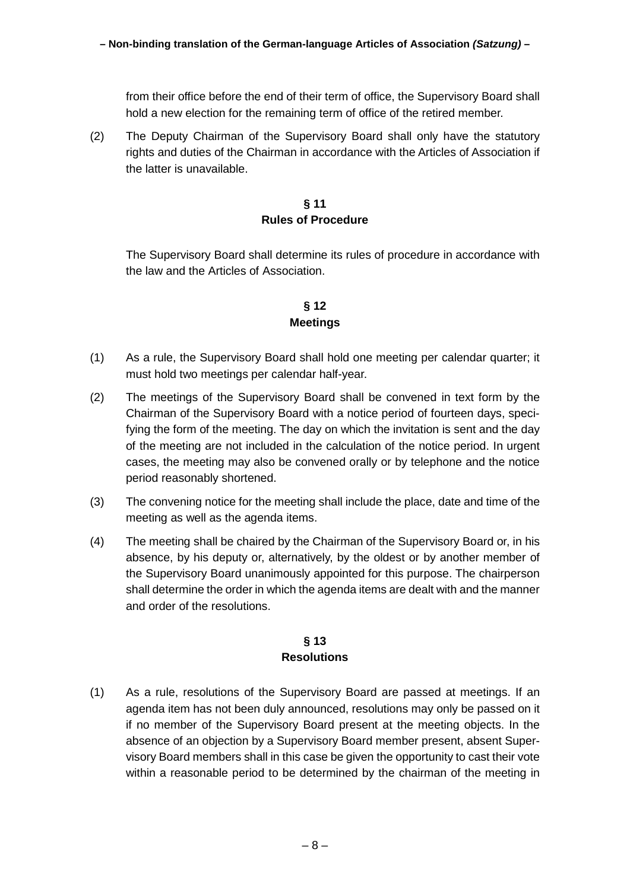from their office before the end of their term of office, the Supervisory Board shall hold a new election for the remaining term of office of the retired member.

(2) The Deputy Chairman of the Supervisory Board shall only have the statutory rights and duties of the Chairman in accordance with the Articles of Association if the latter is unavailable.

#### **§ 11 Rules of Procedure**

<span id="page-7-0"></span>The Supervisory Board shall determine its rules of procedure in accordance with the law and the Articles of Association.

# **§ 12 Meetings**

- <span id="page-7-1"></span>(1) As a rule, the Supervisory Board shall hold one meeting per calendar quarter; it must hold two meetings per calendar half-year.
- <span id="page-7-4"></span>(2) The meetings of the Supervisory Board shall be convened in text form by the Chairman of the Supervisory Board with a notice period of fourteen days, specifying the form of the meeting. The day on which the invitation is sent and the day of the meeting are not included in the calculation of the notice period. In urgent cases, the meeting may also be convened orally or by telephone and the notice period reasonably shortened.
- (3) The convening notice for the meeting shall include the place, date and time of the meeting as well as the agenda items.
- <span id="page-7-3"></span>(4) The meeting shall be chaired by the Chairman of the Supervisory Board or, in his absence, by his deputy or, alternatively, by the oldest or by another member of the Supervisory Board unanimously appointed for this purpose. The chairperson shall determine the order in which the agenda items are dealt with and the manner and order of the resolutions.

#### **§ 13 Resolutions**

<span id="page-7-5"></span><span id="page-7-2"></span>(1) As a rule, resolutions of the Supervisory Board are passed at meetings. If an agenda item has not been duly announced, resolutions may only be passed on it if no member of the Supervisory Board present at the meeting objects. In the absence of an objection by a Supervisory Board member present, absent Supervisory Board members shall in this case be given the opportunity to cast their vote within a reasonable period to be determined by the chairman of the meeting in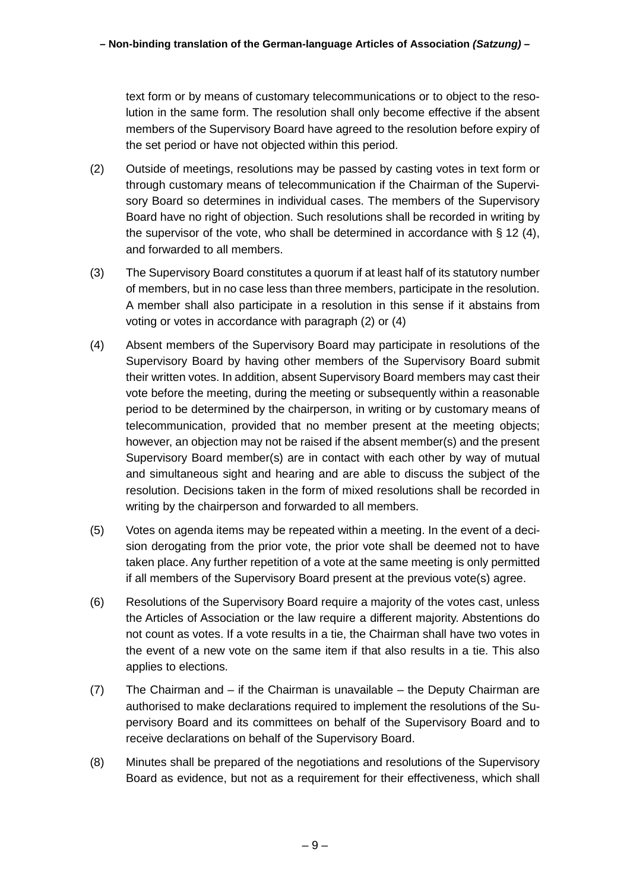text form or by means of customary telecommunications or to object to the resolution in the same form. The resolution shall only become effective if the absent members of the Supervisory Board have agreed to the resolution before expiry of the set period or have not objected within this period.

- <span id="page-8-0"></span>(2) Outside of meetings, resolutions may be passed by casting votes in text form or through customary means of telecommunication if the Chairman of the Supervisory Board so determines in individual cases. The members of the Supervisory Board have no right of objection. Such resolutions shall be recorded in writing by the supervisor of the vote, who shall be determined in accordance with § [12](#page-7-1) [\(4\),](#page-7-3) and forwarded to all members.
- (3) The Supervisory Board constitutes a quorum if at least half of its statutory number of members, but in no case less than three members, participate in the resolution. A member shall also participate in a resolution in this sense if it abstains from voting or votes in accordance with paragraph [\(2\)](#page-8-0) or [\(4\)](#page-8-1)
- <span id="page-8-1"></span>(4) Absent members of the Supervisory Board may participate in resolutions of the Supervisory Board by having other members of the Supervisory Board submit their written votes. In addition, absent Supervisory Board members may cast their vote before the meeting, during the meeting or subsequently within a reasonable period to be determined by the chairperson, in writing or by customary means of telecommunication, provided that no member present at the meeting objects; however, an objection may not be raised if the absent member(s) and the present Supervisory Board member(s) are in contact with each other by way of mutual and simultaneous sight and hearing and are able to discuss the subject of the resolution. Decisions taken in the form of mixed resolutions shall be recorded in writing by the chairperson and forwarded to all members.
- (5) Votes on agenda items may be repeated within a meeting. In the event of a decision derogating from the prior vote, the prior vote shall be deemed not to have taken place. Any further repetition of a vote at the same meeting is only permitted if all members of the Supervisory Board present at the previous vote(s) agree.
- <span id="page-8-2"></span>(6) Resolutions of the Supervisory Board require a majority of the votes cast, unless the Articles of Association or the law require a different majority. Abstentions do not count as votes. If a vote results in a tie, the Chairman shall have two votes in the event of a new vote on the same item if that also results in a tie. This also applies to elections.
- (7) The Chairman and if the Chairman is unavailable the Deputy Chairman are authorised to make declarations required to implement the resolutions of the Supervisory Board and its committees on behalf of the Supervisory Board and to receive declarations on behalf of the Supervisory Board.
- <span id="page-8-3"></span>(8) Minutes shall be prepared of the negotiations and resolutions of the Supervisory Board as evidence, but not as a requirement for their effectiveness, which shall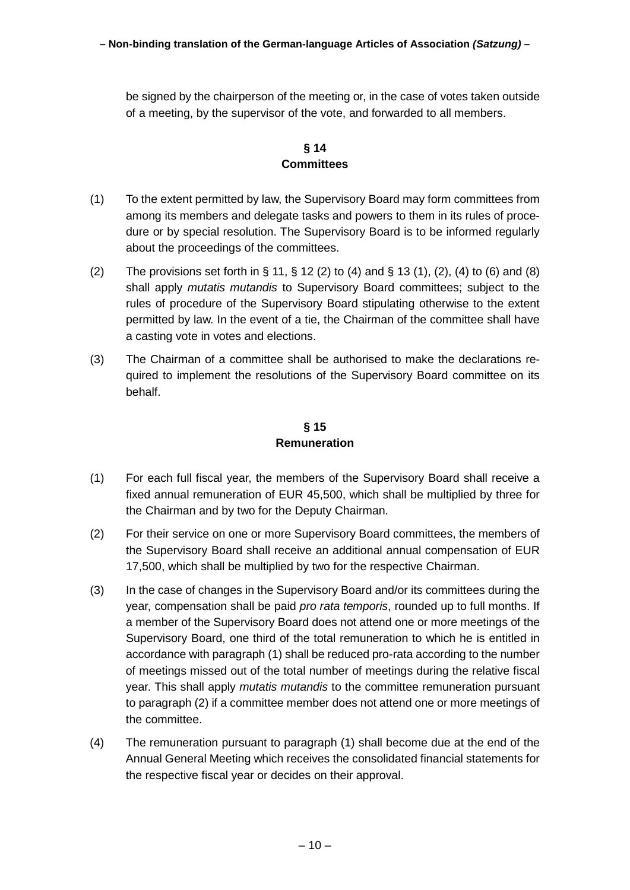be signed by the chairperson of the meeting or, in the case of votes taken outside of a meeting, by the supervisor of the vote, and forwarded to all members.

# **§ 14 Committees**

- <span id="page-9-0"></span>(1) To the extent permitted by law, the Supervisory Board may form committees from among its members and delegate tasks and powers to them in its rules of procedure or by special resolution. The Supervisory Board is to be informed regularly about the proceedings of the committees.
- (2) The provisions set forth in § [11,](#page-7-0) § [12](#page-7-1) [\(2\)](#page-7-4) to [\(4\)](#page-7-3) and § [13](#page-7-2) [\(1\),](#page-7-5) [\(2\),](#page-8-0) [\(4\)](#page-8-1) to [\(6\)](#page-8-2) and [\(8\)](#page-8-3) shall apply *mutatis mutandis* to Supervisory Board committees; subject to the rules of procedure of the Supervisory Board stipulating otherwise to the extent permitted by law. In the event of a tie, the Chairman of the committee shall have a casting vote in votes and elections.
- (3) The Chairman of a committee shall be authorised to make the declarations required to implement the resolutions of the Supervisory Board committee on its behalf.

### **§ 15 Remuneration**

- <span id="page-9-2"></span><span id="page-9-1"></span>(1) For each full fiscal year, the members of the Supervisory Board shall receive a fixed annual remuneration of EUR 45,500, which shall be multiplied by three for the Chairman and by two for the Deputy Chairman.
- <span id="page-9-3"></span>(2) For their service on one or more Supervisory Board committees, the members of the Supervisory Board shall receive an additional annual compensation of EUR 17,500, which shall be multiplied by two for the respective Chairman.
- (3) In the case of changes in the Supervisory Board and/or its committees during the year, compensation shall be paid *pro rata temporis*, rounded up to full months. If a member of the Supervisory Board does not attend one or more meetings of the Supervisory Board, one third of the total remuneration to which he is entitled in accordance with paragraph [\(1\)](#page-9-2) shall be reduced pro-rata according to the number of meetings missed out of the total number of meetings during the relative fiscal year. This shall apply *mutatis mutandis* to the committee remuneration pursuant to paragraph [\(2\)](#page-9-3) if a committee member does not attend one or more meetings of the committee.
- (4) The remuneration pursuant to paragraph [\(1\)](#page-9-2) shall become due at the end of the Annual General Meeting which receives the consolidated financial statements for the respective fiscal year or decides on their approval.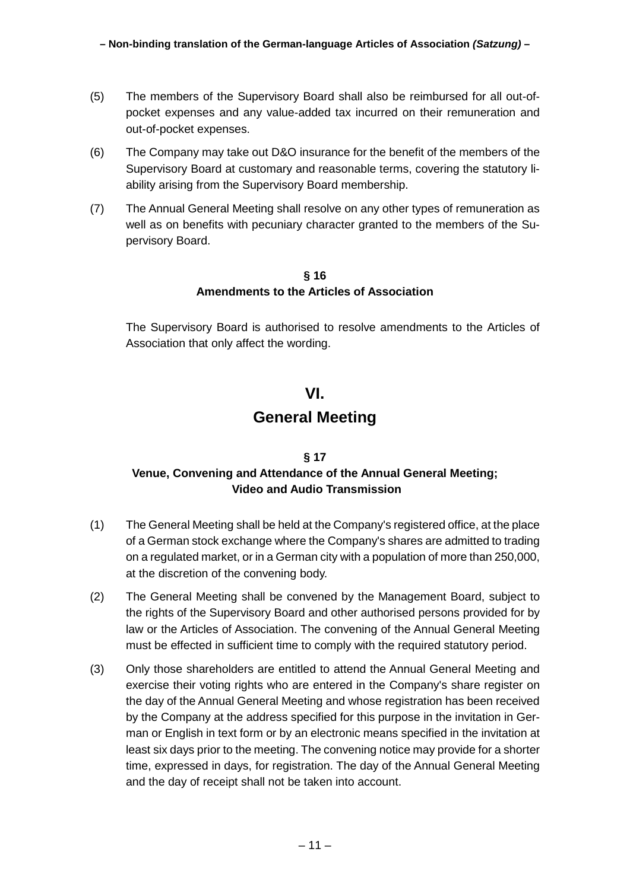- (5) The members of the Supervisory Board shall also be reimbursed for all out-ofpocket expenses and any value-added tax incurred on their remuneration and out-of-pocket expenses.
- (6) The Company may take out D&O insurance for the benefit of the members of the Supervisory Board at customary and reasonable terms, covering the statutory liability arising from the Supervisory Board membership.
- (7) The Annual General Meeting shall resolve on any other types of remuneration as well as on benefits with pecuniary character granted to the members of the Supervisory Board.

#### **§ 16 Amendments to the Articles of Association**

<span id="page-10-0"></span>The Supervisory Board is authorised to resolve amendments to the Articles of Association that only affect the wording.

## **VI.**

# **General Meeting**

### <span id="page-10-2"></span><span id="page-10-1"></span>**§ 17 Venue, Convening and Attendance of the Annual General Meeting; Video and Audio Transmission**

- (1) The General Meeting shall be held at the Company's registered office, at the place of a German stock exchange where the Company's shares are admitted to trading on a regulated market, or in a German city with a population of more than 250,000, at the discretion of the convening body.
- (2) The General Meeting shall be convened by the Management Board, subject to the rights of the Supervisory Board and other authorised persons provided for by law or the Articles of Association. The convening of the Annual General Meeting must be effected in sufficient time to comply with the required statutory period.
- (3) Only those shareholders are entitled to attend the Annual General Meeting and exercise their voting rights who are entered in the Company's share register on the day of the Annual General Meeting and whose registration has been received by the Company at the address specified for this purpose in the invitation in German or English in text form or by an electronic means specified in the invitation at least six days prior to the meeting. The convening notice may provide for a shorter time, expressed in days, for registration. The day of the Annual General Meeting and the day of receipt shall not be taken into account.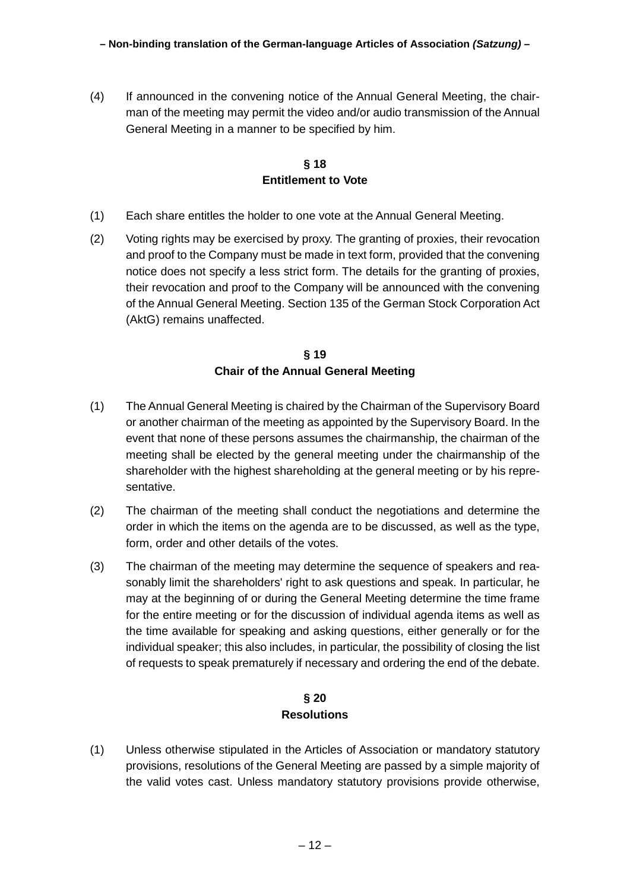(4) If announced in the convening notice of the Annual General Meeting, the chairman of the meeting may permit the video and/or audio transmission of the Annual General Meeting in a manner to be specified by him.

### **§ 18 Entitlement to Vote**

- <span id="page-11-0"></span>(1) Each share entitles the holder to one vote at the Annual General Meeting.
- (2) Voting rights may be exercised by proxy. The granting of proxies, their revocation and proof to the Company must be made in text form, provided that the convening notice does not specify a less strict form. The details for the granting of proxies, their revocation and proof to the Company will be announced with the convening of the Annual General Meeting. Section 135 of the German Stock Corporation Act (AktG) remains unaffected.

#### **§ 19 Chair of the Annual General Meeting**

- <span id="page-11-1"></span>(1) The Annual General Meeting is chaired by the Chairman of the Supervisory Board or another chairman of the meeting as appointed by the Supervisory Board. In the event that none of these persons assumes the chairmanship, the chairman of the meeting shall be elected by the general meeting under the chairmanship of the shareholder with the highest shareholding at the general meeting or by his representative.
- (2) The chairman of the meeting shall conduct the negotiations and determine the order in which the items on the agenda are to be discussed, as well as the type, form, order and other details of the votes.
- (3) The chairman of the meeting may determine the sequence of speakers and reasonably limit the shareholders' right to ask questions and speak. In particular, he may at the beginning of or during the General Meeting determine the time frame for the entire meeting or for the discussion of individual agenda items as well as the time available for speaking and asking questions, either generally or for the individual speaker; this also includes, in particular, the possibility of closing the list of requests to speak prematurely if necessary and ordering the end of the debate.

### **§ 20 Resolutions**

<span id="page-11-2"></span>(1) Unless otherwise stipulated in the Articles of Association or mandatory statutory provisions, resolutions of the General Meeting are passed by a simple majority of the valid votes cast. Unless mandatory statutory provisions provide otherwise,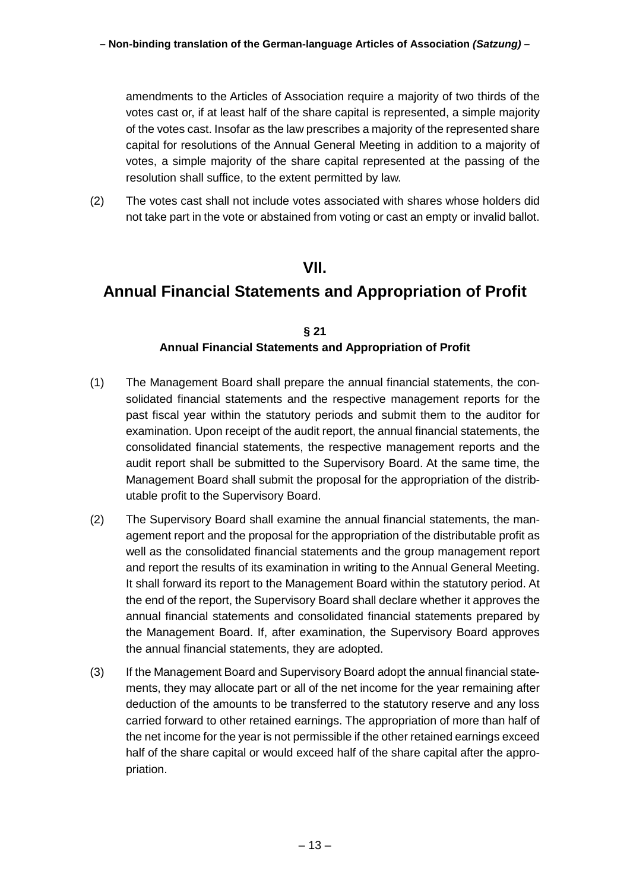amendments to the Articles of Association require a majority of two thirds of the votes cast or, if at least half of the share capital is represented, a simple majority of the votes cast. Insofar as the law prescribes a majority of the represented share capital for resolutions of the Annual General Meeting in addition to a majority of votes, a simple majority of the share capital represented at the passing of the resolution shall suffice, to the extent permitted by law.

(2) The votes cast shall not include votes associated with shares whose holders did not take part in the vote or abstained from voting or cast an empty or invalid ballot.

# **VII.**

# <span id="page-12-0"></span>**Annual Financial Statements and Appropriation of Profit**

#### **§ 21 Annual Financial Statements and Appropriation of Profit**

- <span id="page-12-1"></span>(1) The Management Board shall prepare the annual financial statements, the consolidated financial statements and the respective management reports for the past fiscal year within the statutory periods and submit them to the auditor for examination. Upon receipt of the audit report, the annual financial statements, the consolidated financial statements, the respective management reports and the audit report shall be submitted to the Supervisory Board. At the same time, the Management Board shall submit the proposal for the appropriation of the distributable profit to the Supervisory Board.
- (2) The Supervisory Board shall examine the annual financial statements, the management report and the proposal for the appropriation of the distributable profit as well as the consolidated financial statements and the group management report and report the results of its examination in writing to the Annual General Meeting. It shall forward its report to the Management Board within the statutory period. At the end of the report, the Supervisory Board shall declare whether it approves the annual financial statements and consolidated financial statements prepared by the Management Board. If, after examination, the Supervisory Board approves the annual financial statements, they are adopted.
- (3) If the Management Board and Supervisory Board adopt the annual financial statements, they may allocate part or all of the net income for the year remaining after deduction of the amounts to be transferred to the statutory reserve and any loss carried forward to other retained earnings. The appropriation of more than half of the net income for the year is not permissible if the other retained earnings exceed half of the share capital or would exceed half of the share capital after the appropriation.